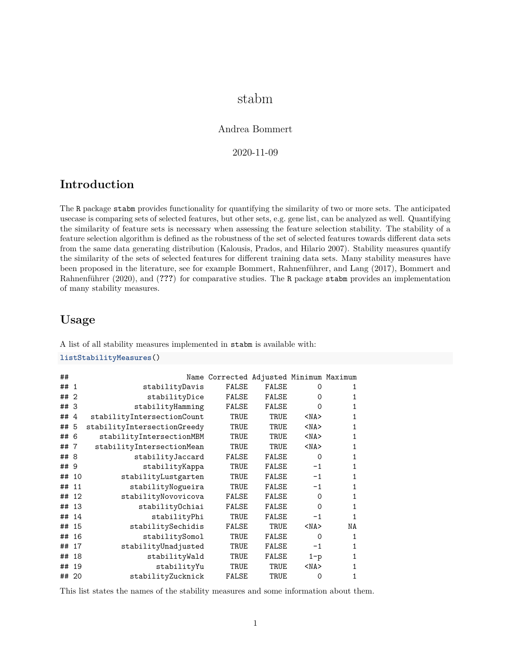# stabm

#### Andrea Bommert

2020-11-09

### **Introduction**

The R package stabm provides functionality for quantifying the similarity of two or more sets. The anticipated usecase is comparing sets of selected features, but other sets, e.g. gene list, can be analyzed as well. Quantifying the similarity of feature sets is necessary when assessing the feature selection stability. The stability of a feature selection algorithm is defined as the robustness of the set of selected features towards different data sets from the same data generating distribution (Kalousis, Prados, and Hilario 2007). Stability measures quantify the similarity of the sets of selected features for different training data sets. Many stability measures have been proposed in the literature, see for example Bommert, Rahnenführer, and Lang (2017), Bommert and Rahnenführer (2020), and (**???**) for comparative studies. The R package stabm provides an implementation of many stability measures.

## **Usage**

A list of all stability measures implemented in stabm is available with:

**listStabilityMeasures**()

```
## Name Corrected Adjusted Minimum Maximum
## 1 stabilityDavis FALSE FALSE 0 1
## 2 stabilityDice FALSE FALSE 0 1
## 3 stabilityHamming FALSE FALSE 0 1
## 4 stabilityIntersectionCount TRUE TRUE <NA> 1
## 5 stabilityIntersectionGreedy TRUE TRUE <NA> 1
## 6 stabilityIntersectionMBM TRUE TRUE <NA> 1
## 7 stabilityIntersectionMean TRUE TRUE <NA> 1
## 8 stabilityJaccard FALSE FALSE 0 1
## 9 stabilityKappa TRUE FALSE -1 1
## 10 stabilityLustgarten TRUE FALSE -1 1
## 11 stabilityNogueira TRUE FALSE -1 1
## 12 stabilityNovovicova FALSE FALSE 0 1
## 13 stabilityOchiai FALSE FALSE 0 1
## 14 stabilityPhi TRUE FALSE -1 1
## 15 stabilitySechidis FALSE TRUE <NA> NA
## 16 stabilitySomol TRUE FALSE 0 1
## 17 stabilityUnadjusted TRUE FALSE -1 1
## 18 stabilityWald TRUE FALSE 1-p 1
## 19 stabilityYu TRUE TRUE <NA> 1
## 20 stabilityZucknick FALSE TRUE 0 1
```
This list states the names of the stability measures and some information about them.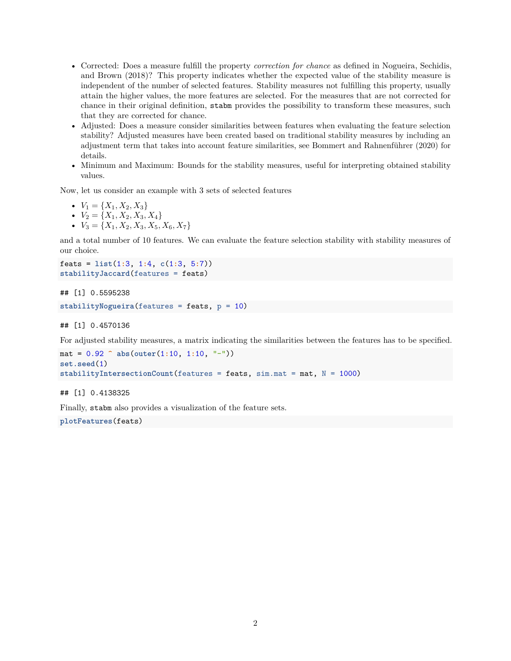- Corrected: Does a measure fulfill the property *correction for chance* as defined in Nogueira, Sechidis, and Brown (2018)? This property indicates whether the expected value of the stability measure is independent of the number of selected features. Stability measures not fulfilling this property, usually attain the higher values, the more features are selected. For the measures that are not corrected for chance in their original definition, stabm provides the possibility to transform these measures, such that they are corrected for chance.
- Adjusted: Does a measure consider similarities between features when evaluating the feature selection stability? Adjusted measures have been created based on traditional stability measures by including an adjustment term that takes into account feature similarities, see Bommert and Rahnenführer (2020) for details.
- Minimum and Maximum: Bounds for the stability measures, useful for interpreting obtained stability values.

Now, let us consider an example with 3 sets of selected features

- $V_1 = \{X_1, X_2, X_3\}$
- $V_2 = \{X_1, X_2, X_3, X_4\}$
- $V_3 = \{X_1, X_2, X_3, X_5, X_6, X_7\}$

and a total number of 10 features. We can evaluate the feature selection stability with stability measures of our choice.

```
feats = list(1:3, 1:4, c(1:3, 5:7))
stabilityJaccard(features = feats)
```
## [1] 0.5595238

```
stabilityNogueira(features = feats, p = 10)
```
## [1] 0.4570136

For adjusted stability measures, a matrix indicating the similarities between the features has to be specified.

```
mat = 0.92 ^ abs(outer(1:10, 1:10, "-"))
set.seed(1)
stabilityIntersectionCount(features = feats, sim.mat = mat, N = 1000)
```
## [1] 0.4138325

Finally, stabm also provides a visualization of the feature sets.

**plotFeatures**(feats)